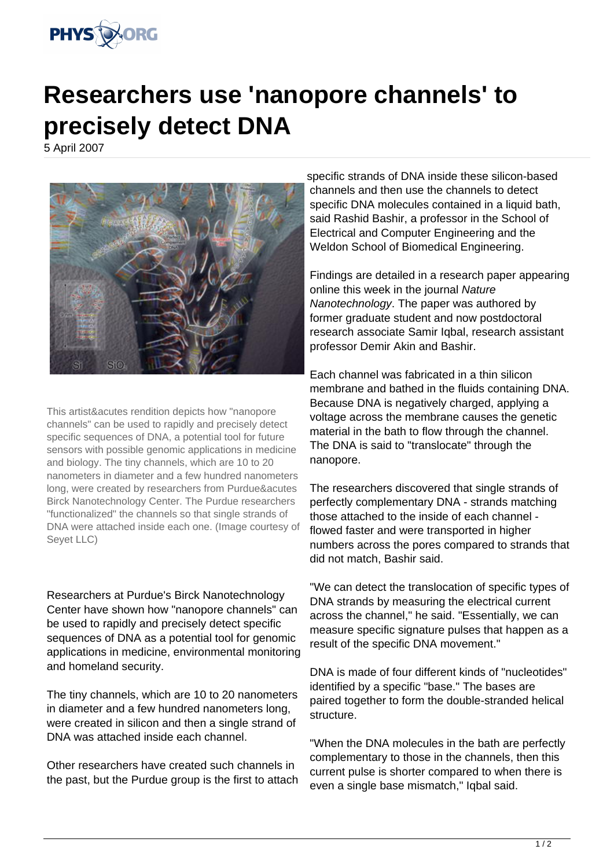

## **Researchers use 'nanopore channels' to precisely detect DNA**

5 April 2007



This artist&acutes rendition depicts how "nanopore channels" can be used to rapidly and precisely detect specific sequences of DNA, a potential tool for future sensors with possible genomic applications in medicine and biology. The tiny channels, which are 10 to 20 nanometers in diameter and a few hundred nanometers long, were created by researchers from Purdue&acutes Birck Nanotechnology Center. The Purdue researchers "functionalized" the channels so that single strands of DNA were attached inside each one. (Image courtesy of Seyet LLC)

Researchers at Purdue's Birck Nanotechnology Center have shown how "nanopore channels" can be used to rapidly and precisely detect specific sequences of DNA as a potential tool for genomic applications in medicine, environmental monitoring and homeland security.

The tiny channels, which are 10 to 20 nanometers in diameter and a few hundred nanometers long, were created in silicon and then a single strand of DNA was attached inside each channel.

Other researchers have created such channels in the past, but the Purdue group is the first to attach specific strands of DNA inside these silicon-based channels and then use the channels to detect specific DNA molecules contained in a liquid bath, said Rashid Bashir, a professor in the School of Electrical and Computer Engineering and the Weldon School of Biomedical Engineering.

Findings are detailed in a research paper appearing online this week in the journal Nature Nanotechnology. The paper was authored by former graduate student and now postdoctoral research associate Samir Iqbal, research assistant professor Demir Akin and Bashir.

Each channel was fabricated in a thin silicon membrane and bathed in the fluids containing DNA. Because DNA is negatively charged, applying a voltage across the membrane causes the genetic material in the bath to flow through the channel. The DNA is said to "translocate" through the nanopore.

The researchers discovered that single strands of perfectly complementary DNA - strands matching those attached to the inside of each channel flowed faster and were transported in higher numbers across the pores compared to strands that did not match, Bashir said.

"We can detect the translocation of specific types of DNA strands by measuring the electrical current across the channel," he said. "Essentially, we can measure specific signature pulses that happen as a result of the specific DNA movement."

DNA is made of four different kinds of "nucleotides" identified by a specific "base." The bases are paired together to form the double-stranded helical structure.

"When the DNA molecules in the bath are perfectly complementary to those in the channels, then this current pulse is shorter compared to when there is even a single base mismatch," Iqbal said.